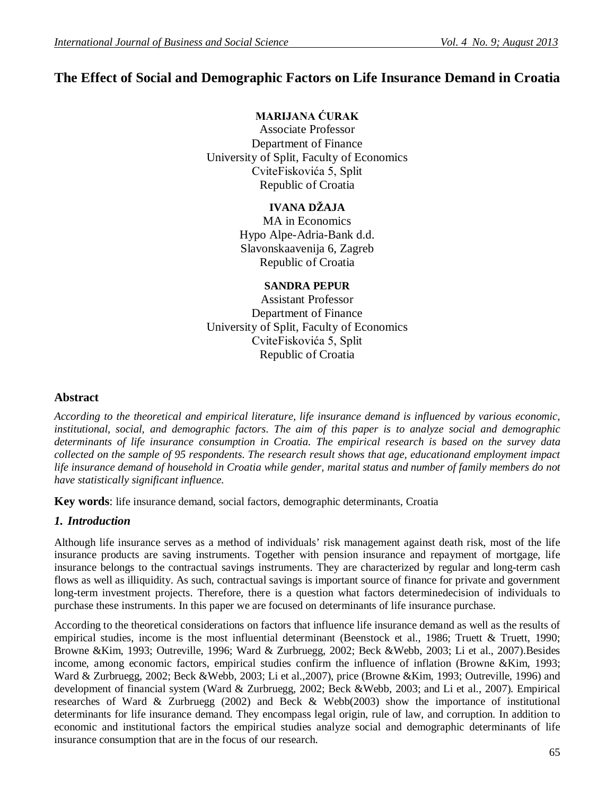# **The Effect of Social and Demographic Factors on Life Insurance Demand in Croatia**

# **MARIJANA ĆURAK**

Associate Professor Department of Finance University of Split, Faculty of Economics CviteFiskovića 5, Split Republic of Croatia

## **IVANA DŽAJA**

MA in Economics Hypo Alpe-Adria-Bank d.d. Slavonskaavenija 6, Zagreb Republic of Croatia

## **SANDRA PEPUR**

Assistant Professor Department of Finance University of Split, Faculty of Economics CviteFiskovića 5, Split Republic of Croatia

### **Abstract**

*According to the theoretical and empirical literature, life insurance demand is influenced by various economic, institutional, social, and demographic factors. The aim of this paper is to analyze social and demographic determinants of life insurance consumption in Croatia. The empirical research is based on the survey data collected on the sample of 95 respondents. The research result shows that age, educationand employment impact life insurance demand of household in Croatia while gender, marital status and number of family members do not have statistically significant influence.*

**Key words**: life insurance demand, social factors, demographic determinants, Croatia

### *1. Introduction*

Although life insurance serves as a method of individuals' risk management against death risk, most of the life insurance products are saving instruments. Together with pension insurance and repayment of mortgage, life insurance belongs to the contractual savings instruments. They are characterized by regular and long-term cash flows as well as illiquidity. As such, contractual savings is important source of finance for private and government long-term investment projects. Therefore, there is a question what factors determinedecision of individuals to purchase these instruments. In this paper we are focused on determinants of life insurance purchase.

According to the theoretical considerations on factors that influence life insurance demand as well as the results of empirical studies, income is the most influential determinant (Beenstock et al., 1986; Truett & Truett, 1990; Browne &Kim, 1993; Outreville, 1996; Ward & Zurbruegg, 2002; Beck &Webb, 2003; Li et al., 2007).Besides income, among economic factors, empirical studies confirm the influence of inflation (Browne &Kim, 1993; Ward & Zurbruegg, 2002; Beck &Webb, 2003; Li et al.,2007), price (Browne &Kim, 1993; Outreville, 1996) and development of financial system (Ward & Zurbruegg, 2002; Beck &Webb, 2003; and Li et al., 2007). Empirical researches of Ward & Zurbruegg (2002) and Beck & Webb(2003) show the importance of institutional determinants for life insurance demand. They encompass legal origin, rule of law, and corruption. In addition to economic and institutional factors the empirical studies analyze social and demographic determinants of life insurance consumption that are in the focus of our research.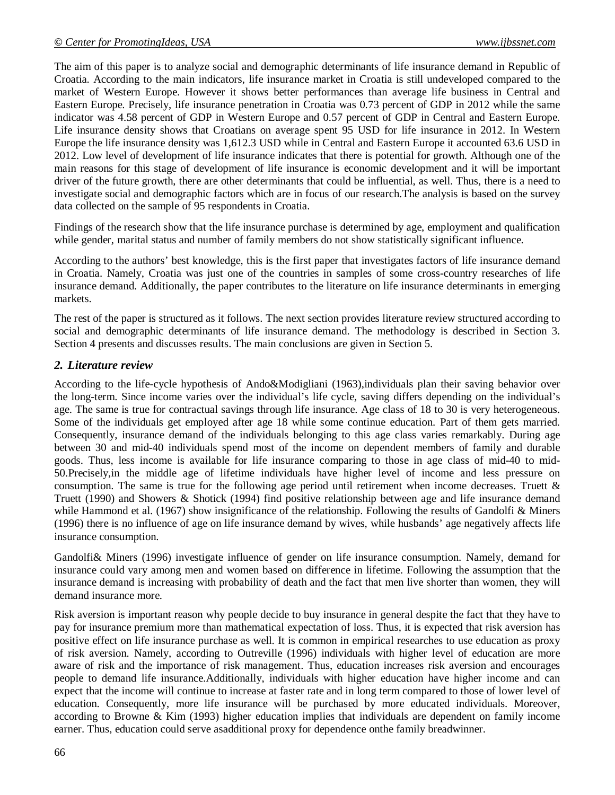The aim of this paper is to analyze social and demographic determinants of life insurance demand in Republic of Croatia. According to the main indicators, life insurance market in Croatia is still undeveloped compared to the market of Western Europe. However it shows better performances than average life business in Central and Eastern Europe. Precisely, life insurance penetration in Croatia was 0.73 percent of GDP in 2012 while the same indicator was 4.58 percent of GDP in Western Europe and 0.57 percent of GDP in Central and Eastern Europe. Life insurance density shows that Croatians on average spent 95 USD for life insurance in 2012. In Western Europe the life insurance density was 1,612.3 USD while in Central and Eastern Europe it accounted 63.6 USD in 2012. Low level of development of life insurance indicates that there is potential for growth. Although one of the main reasons for this stage of development of life insurance is economic development and it will be important driver of the future growth, there are other determinants that could be influential, as well. Thus, there is a need to investigate social and demographic factors which are in focus of our research.The analysis is based on the survey data collected on the sample of 95 respondents in Croatia.

Findings of the research show that the life insurance purchase is determined by age, employment and qualification while gender, marital status and number of family members do not show statistically significant influence.

According to the authors' best knowledge, this is the first paper that investigates factors of life insurance demand in Croatia. Namely, Croatia was just one of the countries in samples of some cross-country researches of life insurance demand. Additionally, the paper contributes to the literature on life insurance determinants in emerging markets.

The rest of the paper is structured as it follows. The next section provides literature review structured according to social and demographic determinants of life insurance demand. The methodology is described in Section 3. Section 4 presents and discusses results. The main conclusions are given in Section 5.

#### *2. Literature review*

According to the life-cycle hypothesis of Ando&Modigliani (1963),individuals plan their saving behavior over the long-term. Since income varies over the individual's life cycle, saving differs depending on the individual's age. The same is true for contractual savings through life insurance. Age class of 18 to 30 is very heterogeneous. Some of the individuals get employed after age 18 while some continue education. Part of them gets married. Consequently, insurance demand of the individuals belonging to this age class varies remarkably. During age between 30 and mid-40 individuals spend most of the income on dependent members of family and durable goods. Thus, less income is available for life insurance comparing to those in age class of mid-40 to mid-50.Precisely,in the middle age of lifetime individuals have higher level of income and less pressure on consumption. The same is true for the following age period until retirement when income decreases. Truett  $\&$ Truett (1990) and Showers & Shotick (1994) find positive relationship between age and life insurance demand while Hammond et al. (1967) show insignificance of the relationship. Following the results of Gandolfi & Miners (1996) there is no influence of age on life insurance demand by wives, while husbands' age negatively affects life insurance consumption.

Gandolfi& Miners (1996) investigate influence of gender on life insurance consumption. Namely, demand for insurance could vary among men and women based on difference in lifetime. Following the assumption that the insurance demand is increasing with probability of death and the fact that men live shorter than women, they will demand insurance more.

Risk aversion is important reason why people decide to buy insurance in general despite the fact that they have to pay for insurance premium more than mathematical expectation of loss. Thus, it is expected that risk aversion has positive effect on life insurance purchase as well. It is common in empirical researches to use education as proxy of risk aversion. Namely, according to Outreville (1996) individuals with higher level of education are more aware of risk and the importance of risk management. Thus, education increases risk aversion and encourages people to demand life insurance.Additionally, individuals with higher education have higher income and can expect that the income will continue to increase at faster rate and in long term compared to those of lower level of education. Consequently, more life insurance will be purchased by more educated individuals. Moreover, according to Browne & Kim (1993) higher education implies that individuals are dependent on family income earner. Thus, education could serve asadditional proxy for dependence onthe family breadwinner.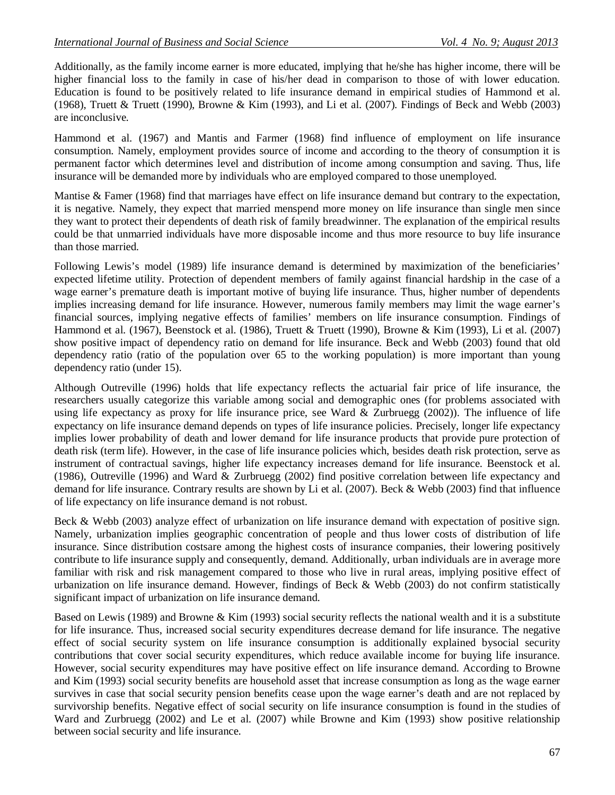Additionally, as the family income earner is more educated, implying that he/she has higher income, there will be higher financial loss to the family in case of his/her dead in comparison to those of with lower education. Education is found to be positively related to life insurance demand in empirical studies of Hammond et al. (1968), Truett & Truett (1990), Browne & Kim (1993), and Li et al. (2007). Findings of Beck and Webb (2003) are inconclusive.

Hammond et al. (1967) and Mantis and Farmer (1968) find influence of employment on life insurance consumption. Namely, employment provides source of income and according to the theory of consumption it is permanent factor which determines level and distribution of income among consumption and saving. Thus, life insurance will be demanded more by individuals who are employed compared to those unemployed.

Mantise & Famer (1968) find that marriages have effect on life insurance demand but contrary to the expectation, it is negative. Namely, they expect that married menspend more money on life insurance than single men since they want to protect their dependents of death risk of family breadwinner. The explanation of the empirical results could be that unmarried individuals have more disposable income and thus more resource to buy life insurance than those married.

Following Lewis's model (1989) life insurance demand is determined by maximization of the beneficiaries' expected lifetime utility. Protection of dependent members of family against financial hardship in the case of a wage earner's premature death is important motive of buying life insurance. Thus, higher number of dependents implies increasing demand for life insurance. However, numerous family members may limit the wage earner's financial sources, implying negative effects of families' members on life insurance consumption. Findings of Hammond et al. (1967), Beenstock et al. (1986), Truett & Truett (1990), Browne & Kim (1993), Li et al. (2007) show positive impact of dependency ratio on demand for life insurance. Beck and Webb (2003) found that old dependency ratio (ratio of the population over 65 to the working population) is more important than young dependency ratio (under 15).

Although Outreville (1996) holds that life expectancy reflects the actuarial fair price of life insurance, the researchers usually categorize this variable among social and demographic ones (for problems associated with using life expectancy as proxy for life insurance price, see Ward & Zurbruegg (2002)). The influence of life expectancy on life insurance demand depends on types of life insurance policies. Precisely, longer life expectancy implies lower probability of death and lower demand for life insurance products that provide pure protection of death risk (term life). However, in the case of life insurance policies which, besides death risk protection, serve as instrument of contractual savings, higher life expectancy increases demand for life insurance. Beenstock et al. (1986), Outreville (1996) and Ward & Zurbruegg (2002) find positive correlation between life expectancy and demand for life insurance. Contrary results are shown by Li et al. (2007). Beck & Webb (2003) find that influence of life expectancy on life insurance demand is not robust.

Beck & Webb (2003) analyze effect of urbanization on life insurance demand with expectation of positive sign. Namely, urbanization implies geographic concentration of people and thus lower costs of distribution of life insurance. Since distribution costsare among the highest costs of insurance companies, their lowering positively contribute to life insurance supply and consequently, demand. Additionally, urban individuals are in average more familiar with risk and risk management compared to those who live in rural areas, implying positive effect of urbanization on life insurance demand. However, findings of Beck  $&$  Webb (2003) do not confirm statistically significant impact of urbanization on life insurance demand.

Based on Lewis (1989) and Browne & Kim (1993) social security reflects the national wealth and it is a substitute for life insurance. Thus, increased social security expenditures decrease demand for life insurance. The negative effect of social security system on life insurance consumption is additionally explained bysocial security contributions that cover social security expenditures, which reduce available income for buying life insurance. However, social security expenditures may have positive effect on life insurance demand. According to Browne and Kim (1993) social security benefits are household asset that increase consumption as long as the wage earner survives in case that social security pension benefits cease upon the wage earner's death and are not replaced by survivorship benefits. Negative effect of social security on life insurance consumption is found in the studies of Ward and Zurbruegg (2002) and Le et al. (2007) while Browne and Kim (1993) show positive relationship between social security and life insurance.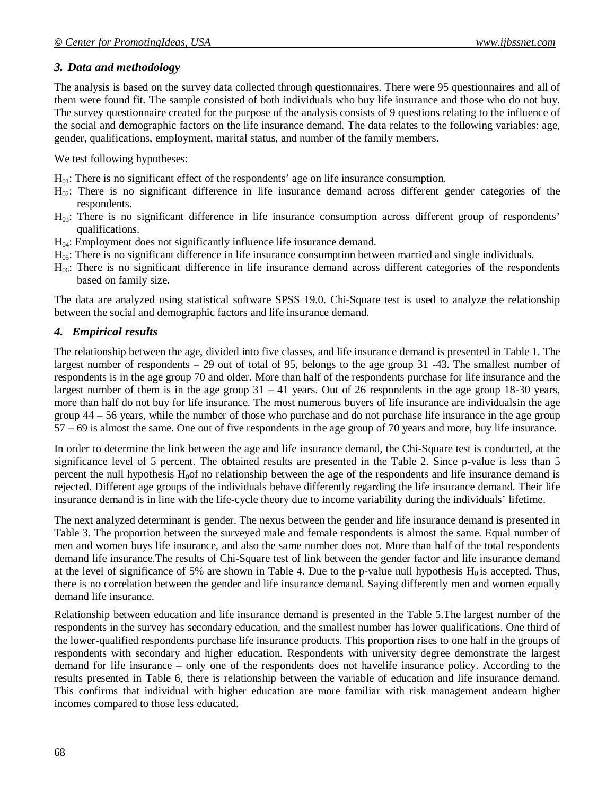### *3. Data and methodology*

The analysis is based on the survey data collected through questionnaires. There were 95 questionnaires and all of them were found fit. The sample consisted of both individuals who buy life insurance and those who do not buy. The survey questionnaire created for the purpose of the analysis consists of 9 questions relating to the influence of the social and demographic factors on the life insurance demand. The data relates to the following variables: age, gender, qualifications, employment, marital status, and number of the family members.

We test following hypotheses:

 $H<sub>01</sub>$ : There is no significant effect of the respondents' age on life insurance consumption.

- $H_{02}$ : There is no significant difference in life insurance demand across different gender categories of the respondents.
- $H_{03}$ : There is no significant difference in life insurance consumption across different group of respondents' qualifications.
- $H<sub>04</sub>$ : Employment does not significantly influence life insurance demand.
- $H<sub>05</sub>$ : There is no significant difference in life insurance consumption between married and single individuals.
- $H<sub>06</sub>$ : There is no significant difference in life insurance demand across different categories of the respondents based on family size.

The data are analyzed using statistical software SPSS 19.0. Chi-Square test is used to analyze the relationship between the social and demographic factors and life insurance demand.

### *4. Empirical results*

The relationship between the age, divided into five classes, and life insurance demand is presented in Table 1. The largest number of respondents – 29 out of total of 95, belongs to the age group 31 -43. The smallest number of respondents is in the age group 70 and older. More than half of the respondents purchase for life insurance and the largest number of them is in the age group 31 – 41 years. Out of 26 respondents in the age group 18-30 years, more than half do not buy for life insurance. The most numerous buyers of life insurance are individualsin the age group 44 – 56 years, while the number of those who purchase and do not purchase life insurance in the age group 57 – 69 is almost the same. One out of five respondents in the age group of 70 years and more, buy life insurance.

In order to determine the link between the age and life insurance demand, the Chi-Square test is conducted, at the significance level of 5 percent. The obtained results are presented in the Table 2. Since p-value is less than 5 percent the null hypothesis  $H<sub>0</sub>$  of no relationship between the age of the respondents and life insurance demand is rejected. Different age groups of the individuals behave differently regarding the life insurance demand. Their life insurance demand is in line with the life-cycle theory due to income variability during the individuals' lifetime.

The next analyzed determinant is gender. The nexus between the gender and life insurance demand is presented in Table 3. The proportion between the surveyed male and female respondents is almost the same. Equal number of men and women buys life insurance, and also the same number does not. More than half of the total respondents demand life insurance.The results of Chi-Square test of link between the gender factor and life insurance demand at the level of significance of 5% are shown in Table 4. Due to the p-value null hypothesis  $H_0$  is accepted. Thus, there is no correlation between the gender and life insurance demand. Saying differently men and women equally demand life insurance.

Relationship between education and life insurance demand is presented in the Table 5.The largest number of the respondents in the survey has secondary education, and the smallest number has lower qualifications. One third of the lower-qualified respondents purchase life insurance products. This proportion rises to one half in the groups of respondents with secondary and higher education. Respondents with university degree demonstrate the largest demand for life insurance – only one of the respondents does not havelife insurance policy. According to the results presented in Table 6, there is relationship between the variable of education and life insurance demand. This confirms that individual with higher education are more familiar with risk management andearn higher incomes compared to those less educated.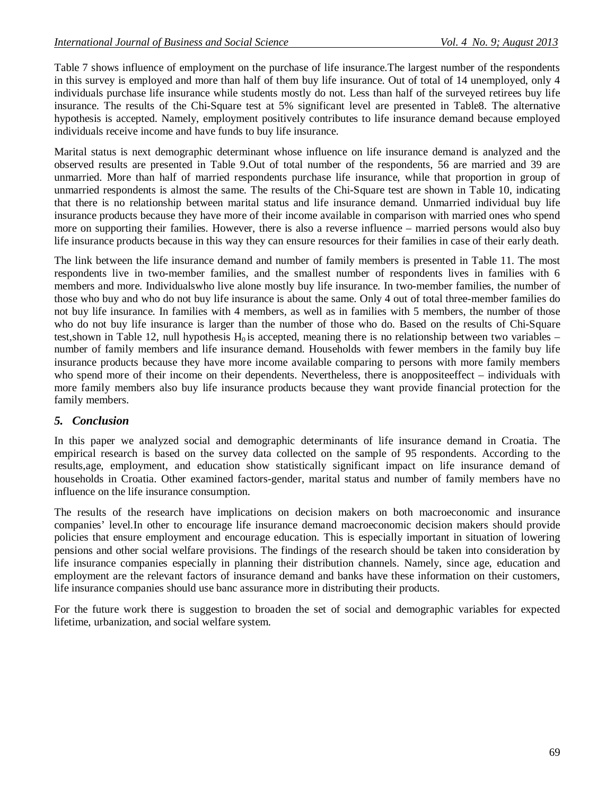Table 7 shows influence of employment on the purchase of life insurance.The largest number of the respondents in this survey is employed and more than half of them buy life insurance. Out of total of 14 unemployed, only 4 individuals purchase life insurance while students mostly do not. Less than half of the surveyed retirees buy life insurance. The results of the Chi-Square test at 5% significant level are presented in Table8. The alternative hypothesis is accepted. Namely, employment positively contributes to life insurance demand because employed individuals receive income and have funds to buy life insurance.

Marital status is next demographic determinant whose influence on life insurance demand is analyzed and the observed results are presented in Table 9.Out of total number of the respondents, 56 are married and 39 are unmarried. More than half of married respondents purchase life insurance, while that proportion in group of unmarried respondents is almost the same. The results of the Chi-Square test are shown in Table 10, indicating that there is no relationship between marital status and life insurance demand. Unmarried individual buy life insurance products because they have more of their income available in comparison with married ones who spend more on supporting their families. However, there is also a reverse influence – married persons would also buy life insurance products because in this way they can ensure resources for their families in case of their early death.

The link between the life insurance demand and number of family members is presented in Table 11. The most respondents live in two-member families, and the smallest number of respondents lives in families with 6 members and more. Individualswho live alone mostly buy life insurance. In two-member families, the number of those who buy and who do not buy life insurance is about the same. Only 4 out of total three-member families do not buy life insurance. In families with 4 members, as well as in families with 5 members, the number of those who do not buy life insurance is larger than the number of those who do. Based on the results of Chi-Square test, shown in Table 12, null hypothesis  $H_0$  is accepted, meaning there is no relationship between two variables – number of family members and life insurance demand. Households with fewer members in the family buy life insurance products because they have more income available comparing to persons with more family members who spend more of their income on their dependents. Nevertheless, there is anopposite effect – individuals with more family members also buy life insurance products because they want provide financial protection for the family members.

#### *5. Conclusion*

In this paper we analyzed social and demographic determinants of life insurance demand in Croatia. The empirical research is based on the survey data collected on the sample of 95 respondents. According to the results,age, employment, and education show statistically significant impact on life insurance demand of households in Croatia. Other examined factors-gender, marital status and number of family members have no influence on the life insurance consumption.

The results of the research have implications on decision makers on both macroeconomic and insurance companies' level.In other to encourage life insurance demand macroeconomic decision makers should provide policies that ensure employment and encourage education. This is especially important in situation of lowering pensions and other social welfare provisions. The findings of the research should be taken into consideration by life insurance companies especially in planning their distribution channels. Namely, since age, education and employment are the relevant factors of insurance demand and banks have these information on their customers, life insurance companies should use banc assurance more in distributing their products.

For the future work there is suggestion to broaden the set of social and demographic variables for expected lifetime, urbanization, and social welfare system.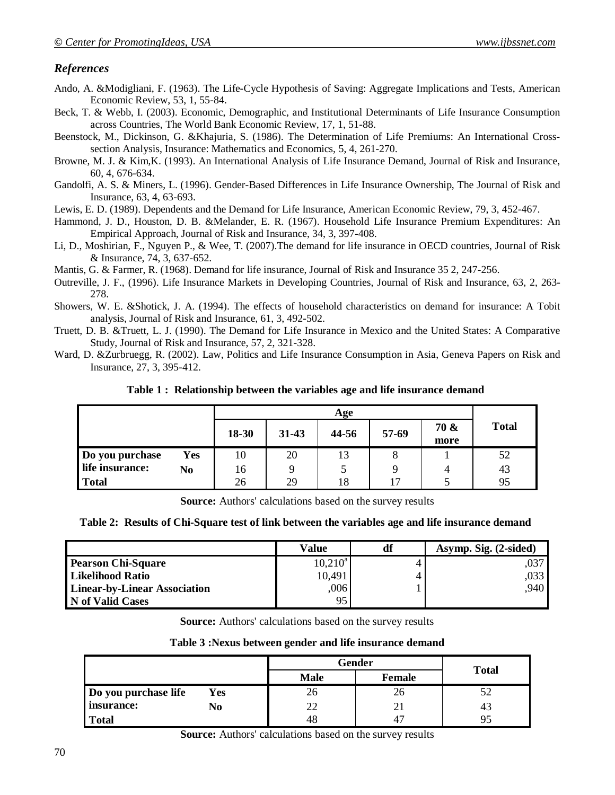### *References*

- Ando, A. &Modigliani, F. (1963). The Life-Cycle Hypothesis of Saving: Aggregate Implications and Tests, American Economic Review, 53, 1, 55-84.
- Beck, T. & Webb, I. (2003). Economic, Demographic, and Institutional Determinants of Life Insurance Consumption across Countries, The World Bank Economic Review, 17, 1, 51-88.
- Beenstock, M., Dickinson, G. &Khajuria, S. (1986). The Determination of Life Premiums: An International Crosssection Analysis, Insurance: Mathematics and Economics, 5, 4, 261-270.
- Browne, M. J. & Kim,K. (1993). An International Analysis of Life Insurance Demand, Journal of Risk and Insurance, 60, 4, 676-634.
- Gandolfi, A. S. & Miners, L. (1996). Gender-Based Differences in Life Insurance Ownership, The Journal of Risk and Insurance, 63, 4, 63-693.
- Lewis, E. D. (1989). Dependents and the Demand for Life Insurance, American Economic Review, 79, 3, 452-467.
- Hammond, J. D., Houston, D. B. &Melander, E. R. (1967). Household Life Insurance Premium Expenditures: An Empirical Approach, Journal of Risk and Insurance, 34, 3, 397-408.
- Li, D., Moshirian, F., Nguyen P., & Wee, T. (2007).The demand for life insurance in OECD countries, Journal of Risk & Insurance, 74, 3, 637-652.
- Mantis, G. & Farmer, R. (1968). Demand for life insurance, Journal of Risk and Insurance 35 2, 247-256.
- Outreville, J. F., (1996). Life Insurance Markets in Developing Countries, Journal of Risk and Insurance, 63, 2, 263- 278.
- Showers, W. E. &Shotick, J. A. (1994). The effects of household characteristics on demand for insurance: A Tobit analysis, Journal of Risk and Insurance, 61, 3, 492-502.
- Truett, D. B. &Truett, L. J. (1990). The Demand for Life Insurance in Mexico and the United States: A Comparative Study, Journal of Risk and Insurance, 57, 2, 321-328.
- Ward, D. &Zurbruegg, R. (2002). Law, Politics and Life Insurance Consumption in Asia, Geneva Papers on Risk and Insurance, 27, 3, 395-412.

#### **Table 1 : Relationship between the variables age and life insurance demand**

|                 |     | Age   |           |       |       |              |              |
|-----------------|-----|-------|-----------|-------|-------|--------------|--------------|
|                 |     | 18-30 | $31 - 43$ | 44-56 | 57-69 | 70 &<br>more | <b>Total</b> |
| Do you purchase | Yes | 10    | 20        | 13    | O     |              | 52           |
| life insurance: | No  | 16    |           |       |       |              | 43           |
| <b>Total</b>    |     | 26    | 29        | 18    | 17    |              | 95           |

**Source:** Authors' calculations based on the survey results

#### **Table 2: Results of Chi-Square test of link between the variables age and life insurance demand**

|                                     | <b>Value</b> | df | Asymp. Sig. (2-sided) |
|-------------------------------------|--------------|----|-----------------------|
| <b>Pearson Chi-Square</b>           | $10,210^a$   |    |                       |
| <b>Likelihood Ratio</b>             | 10,491       |    | .033                  |
| <b>Linear-by-Linear Association</b> | ,006         |    | .940                  |
| N of Valid Cases                    | 95           |    |                       |

**Source:** Authors' calculations based on the survey results

#### **Table 3 :Nexus between gender and life insurance demand**

|                      |     |             | Gender        |              |  |  |
|----------------------|-----|-------------|---------------|--------------|--|--|
|                      |     | <b>Male</b> | <b>Female</b> | <b>Total</b> |  |  |
| Do you purchase life | Yes | 26          | ۷O            |              |  |  |
| insurance:           | No  | 22          |               | 45           |  |  |
| <b>Total</b>         |     | 48          |               |              |  |  |

**Source:** Authors' calculations based on the survey results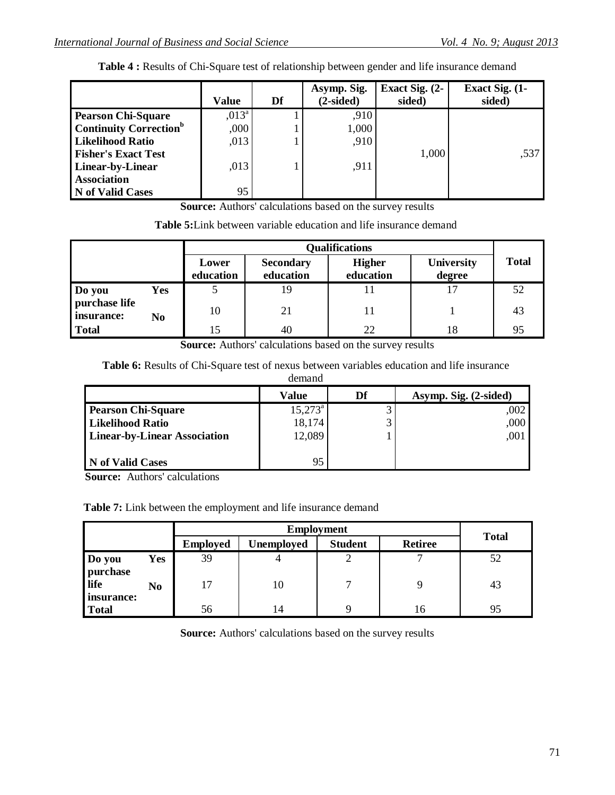|                                           | <b>Value</b>   | Df | Asymp. Sig.<br>$(2-sided)$ | Exact Sig. (2-<br>sided) | Exact Sig. (1-<br>sided) |
|-------------------------------------------|----------------|----|----------------------------|--------------------------|--------------------------|
| <b>Pearson Chi-Square</b>                 | $,013^{\circ}$ |    | ,910                       |                          |                          |
| <b>Continuity Correction</b> <sup>b</sup> | ,000           |    | 1,000                      |                          |                          |
| <b>Likelihood Ratio</b>                   | ,013           |    | ,910                       |                          |                          |
| <b>Fisher's Exact Test</b>                |                |    |                            | 1,000                    | ,537                     |
| Linear-by-Linear                          | ,013           |    | ,911                       |                          |                          |
| <b>Association</b>                        |                |    |                            |                          |                          |
| <b>N</b> of Valid Cases                   | 95             |    |                            |                          |                          |

**Table 4 :** Results of Chi-Square test of relationship between gender and life insurance demand

**Source:** Authors' calculations based on the survey results

| <b>Table 5:</b> Link between variable education and life insurance demand |  |
|---------------------------------------------------------------------------|--|
|---------------------------------------------------------------------------|--|

|                             |     | <b>Qualifications</b> |                               |                            |                             |              |  |  |
|-----------------------------|-----|-----------------------|-------------------------------|----------------------------|-----------------------------|--------------|--|--|
|                             |     | Lower<br>education    | <b>Secondary</b><br>education | <b>Higher</b><br>education | <b>University</b><br>degree | <b>Total</b> |  |  |
| Do you                      | Yes |                       | 19                            |                            | 17                          | 52           |  |  |
| purchase life<br>insurance: | No  | 10                    | 21                            | 11                         |                             | 43           |  |  |
| <b>Total</b>                |     | 15                    | 40                            | 22                         | 18                          | 95           |  |  |

**Source:** Authors' calculations based on the survey results

**Table 6:** Results of Chi-Square test of nexus between variables education and life insurance demand

|                                     | Value            | Df | Asymp. Sig. (2-sided) |
|-------------------------------------|------------------|----|-----------------------|
| <b>Pearson Chi-Square</b>           | $15,273^{\circ}$ |    | ,002                  |
| <b>Likelihood Ratio</b>             | 18,174           |    | ,000                  |
| <b>Linear-by-Linear Association</b> | 12,089           |    | ,001                  |
|                                     |                  |    |                       |
| N of Valid Cases                    | 95               |    |                       |

**Source:** Authors' calculations

**Table 7:** Link between the employment and life insurance demand

|                    | <b>Employment</b> |                 |                   |                |                |              |  |
|--------------------|-------------------|-----------------|-------------------|----------------|----------------|--------------|--|
|                    |                   | <b>Employed</b> | <b>Unemployed</b> | <b>Student</b> | <b>Retiree</b> | <b>Total</b> |  |
| Do you<br>purchase | Yes               | 39              | 4                 |                |                | 52           |  |
| life<br>insurance: | No                | 17              | 10                | −              |                | 43           |  |
| <b>Total</b>       |                   | 56              | 14                |                | 16             | 95           |  |

**Source:** Authors' calculations based on the survey results